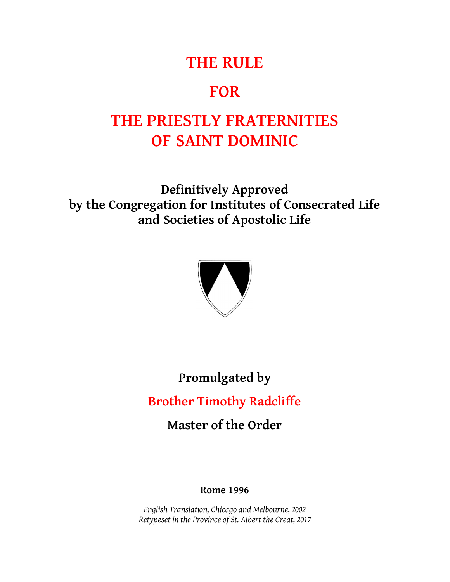## **THE RULE**

## **FOR**

# **THE PRIESTLY FRATERNITIES OF SAINT DOMINIC**

**Definitively Approved by the Congregation for Institutes of Consecrated Life and Societies of Apostolic Life**



# **Promulgated by Brother Timothy Radcliffe**

**Master of the Order**

#### **Rome 1996**

*English Translation, Chicago and Melbourne, 2002 Retypeset in the Province of St. Albert the Great, 2017*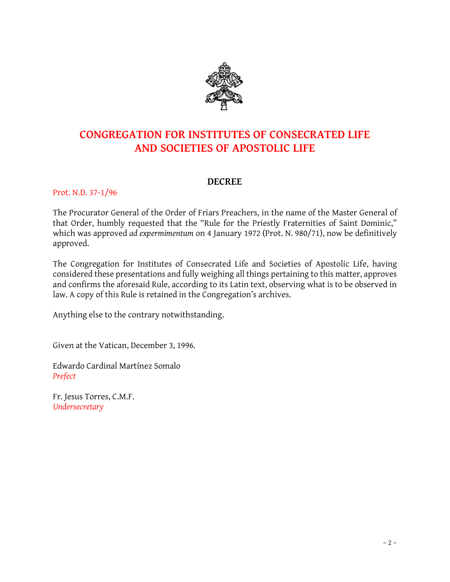

## **CONGREGATION FOR INSTITUTES OF CONSECRATED LIFE AND SOCIETIES OF APOSTOLIC LIFE**

#### **DECREE**

#### Prot. N.D. 37-1/96

The Procurator General of the Order of Friars Preachers, in the name of the Master General of that Order, humbly requested that the "Rule for the Priestly Fraternities of Saint Dominic," which was approved *ad expermimentum* on 4 January 1972 (Prot. N. 980/71), now be definitively approved.

The Congregation for Institutes of Consecrated Life and Societies of Apostolic Life, having considered these presentations and fully weighing all things pertaining to this matter, approves and confirms the aforesaid Rule, according to its Latin text, observing what is to be observed in law. A copy of this Rule is retained in the Congregation's archives.

Anything else to the contrary notwithstanding.

Given at the Vatican, December 3, 1996.

Edwardo Cardinal Martínez Somalo *Prefect*

Fr. Jesus Torres, C.M.F. *Undersecretary*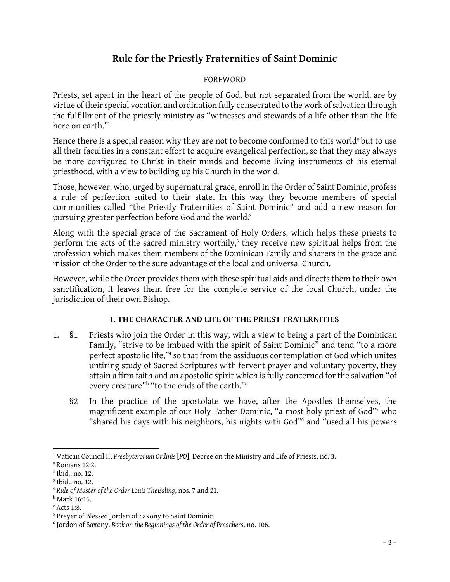### **Rule for the Priestly Fraternities of Saint Dominic**

#### FOREWORD

Priests, set apart in the heart of the people of God, but not separated from the world, are by virtue of their special vocation and ordination fully consecrated to the work of salvation through the fulfillment of the priestly ministry as "witnesses and stewards of a life other than the life here on earth."<sup>1</sup>

Hence there is a special reason why they are not to become conformed to this world<sup>a</sup> but to use all their faculties in a constant effort to acquire evangelical perfection, so that they may always be more configured to Christ in their minds and become living instruments of his eternal priesthood, with a view to building up his Church in the world.

Those, however, who, urged by supernatural grace, enroll in the Order of Saint Dominic, profess a rule of perfection suited to their state. In this way they become members of special communities called "the Priestly Fraternities of Saint Dominic" and add a new reason for pursuing greater perfection before God and the world.<sup>2</sup>

Along with the special grace of the Sacrament of Holy Orders, which helps these priests to perform the acts of the sacred ministry worthily, $3$  they receive new spiritual helps from the profession which makes them members of the Dominican Family and sharers in the grace and mission of the Order to the sure advantage of the local and universal Church.

However, while the Order provides them with these spiritual aids and directs them to their own sanctification, it leaves them free for the complete service of the local Church, under the jurisdiction of their own Bishop.

#### **I. THE CHARACTER AND LIFE OF THE PRIEST FRATERNITIES**

- 1. §1 Priests who join the Order in this way, with a view to being a part of the Dominican Family, "strive to be imbued with the spirit of Saint Dominic" and tend "to a more perfect apostolic life,"<sup>4</sup> so that from the assiduous contemplation of God which unites untiring study of Sacred Scriptures with fervent prayer and voluntary poverty, they attain a firm faith and an apostolic spirit which is fully concerned for the salvation "of every creature"<sup>b</sup> "to the ends of the earth."<sup>c</sup>
	- §2 In the practice of the apostolate we have, after the Apostles themselves, the magnificent example of our Holy Father Dominic, "a most holy priest of God"<sup>5</sup> who "shared his days with his neighbors, his nights with God"<sup>6</sup> and "used all his powers

 <sup>1</sup> Vatican Council II, *Presbyterorum Ordinis* [*PO*], Decree on the Ministry and Life of Priests, no. 3.<br><sup>a</sup> Romans 12:2.<br><sup>3</sup> Ibid., no. 12.<br><sup>4</sup> *Rule of Master of the Order Louis Theissling*, nos. 7 and 21.

<sup>&</sup>lt;sup>a</sup> Romans 12:2.<br><sup>2</sup> Ibid., no. 12.

 $<sup>b</sup>$  Mark 16:15.</sup>

 $c$  Acts 1:8.

<sup>5</sup> Prayer of Blessed Jordan of Saxony to Saint Dominic.

<sup>6</sup> Jordon of Saxony, *Book on the Beginnings of the Order of Preachers*, no. 106.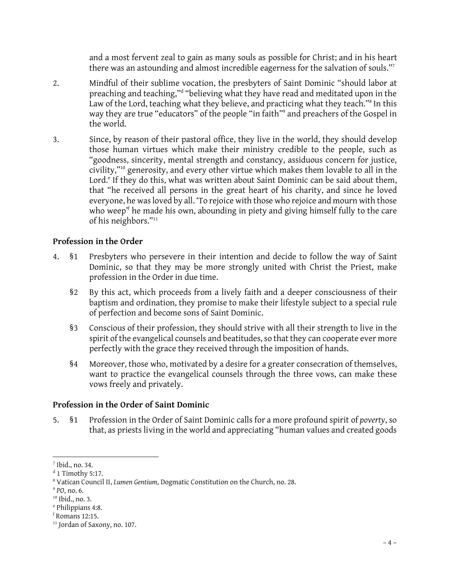and a most fervent zeal to gain as many souls as possible for Christ; and in his heart there was an astounding and almost incredible eagerness for the salvation of souls."<sup>7</sup>

- 2. Mindful of their sublime vocation, the presbyters of Saint Dominic "should labor at preaching and teaching,"<sup>d</sup> "believing what they have read and meditated upon in the Mindful of their sublime vocation, the presbyters of Saint Dominic "should labor at<br>preaching and teaching,"<sup>d</sup> "believing what they have read and meditated upon in the<br>Law of the Lord, teaching what they believe, and prac way they are true "educators" of the people "in faith"<sup>9</sup> and preachers of the Gospel in the world.
- 3. Since, by reason of their pastoral office, they live in the world, they should develop those human virtues which make their ministry credible to the people, such as Since, by reason of their pastoral office, they live in the world, they should develop<br>those human virtues which make their ministry credible to the people, such as<br>"goodness, sincerity, mental strength and constancy, assi civility,"<sup>10</sup> generosity, and every other virtue which makes them lovable to all in the Lord.<sup>e</sup> If they do this, what was written about Saint Dominic can be said about them, that "he received all persons in the great heart of his charity, and since he loved Lord.<sup>e</sup> If they do this, what was written about Saint Dominic can be said about them,<br>that "he received all persons in the great heart of his charity, and since he loved<br>everyone, he was loved by all. 'To rejoice with th that "he received all persons in the great heart of his charity, and since he loved<br>everyone, he was loved by all. 'To rejoice with those who rejoice and mourn with those<br>who weep'<sup>f</sup> he made his own, abounding in piety an of his neighbors."<sup>11</sup>

#### **Profession in the Order**

- 4. §1 Presbyters who persevere in their intention and decide to follow the way of Saint Dominic, so that they may be more strongly united with Christ the Priest, make profession in the Order in due time.
	- §2 By this act, which proceeds from a lively faith and a deeper consciousness of their baptism and ordination, they promise to make their lifestyle subject to a special rule of perfection and become sons of Saint Dominic.
	- §3 Conscious of their profession, they should strive with all their strength to live in the spirit of the evangelical counsels and beatitudes, so that they can cooperate ever more perfectly with the grace they received through the imposition of hands.
	- §4 Moreover, those who, motivated by a desire for a greater consecration of themselves, want to practice the evangelical counsels through the three vows, can make these vows freely and privately.

#### **Profession in the Order of Saint Dominic**

5. §1 Profession in the Order of Saint Dominic calls for a more profound spirit of *poverty*, so that, as priests living in the world and appreciating "human values and created goods

 <sup>7</sup> Ibid., no. 34.

 $d$  1 Timothy 5:17.

<sup>8</sup> Vatican Council II, *Lumen Gentium*, Dogmatic Constitution on the Church, no. 28.

<sup>9</sup> *PO*, no. 6.

<sup>&</sup>lt;sup>10</sup> Ibid., no. 3.

<sup>e</sup> Philippians 4:8.

 $f$  Romans 12:15.

<sup>&</sup>lt;sup>11</sup> Jordan of Saxony, no. 107.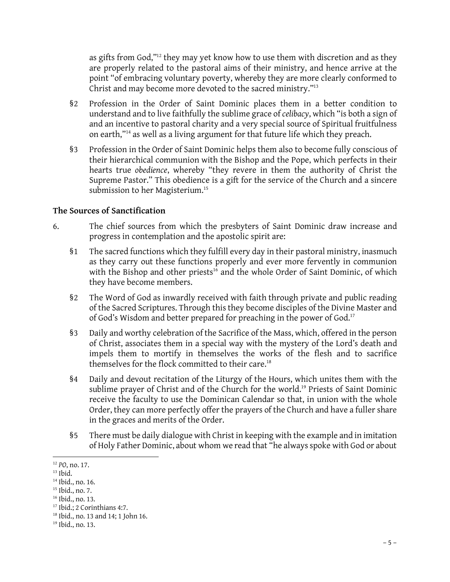as gifts from God,"<sup>12</sup> they may yet know how to use them with discretion and as they are properly related to the pastoral aims of their ministry, and hence arrive at the point "of embracing voluntary poverty, whereby they are more clearly conformed to Christ and may become more devoted to the sacred ministry."<sup>13</sup>

- §2 Profession in the Order of Saint Dominic places them in a better condition to understand and to live faithfully the sublime grace of *celibacy*, which "is both a sign of and an incentive to pastoral charity and a very special source of Spiritual fruitfulness on earth,"<sup>14</sup> as well as a living argument for that future life which they preach.
- Sa Profession in the Order of Saint Dominic helps them also to become fully conscious of<br>their hierarchical communion with the Bishon and the Pope, which perfects in their on earth, as well as a living argument for that future life which they preach.<br>Profession in the Order of Saint Dominic helps them also to become fully conscious of<br>their hierarchical communion with the Bishop and the Pope hearts true *obedience*, whereby "they revere in them the authority of Christ the Supreme Pastor." This obedience is a gift for the service of the Church and a sincere submission to her Magisterium.<sup>15</sup>

#### **The Sources of Sanctification**

- 6. The chief sources from which the presbyters of Saint Dominic draw increase and progress in contemplation and the apostolic spirit are:
	- §1 The sacred functions which they fulfill every day in their pastoral ministry, inasmuch as they carry out these functions properly and ever more fervently in communion with the Bishop and other priests<sup>16</sup> and the whole Order of Saint Dominic, of which they have become members.
	- §2 The Word of God as inwardly received with faith through private and public reading The Word of God as inwardly received with faith through private and public reading<br>of the Sacred Scriptures. Through this they become disciples of the Divine Master and<br>of God's Wisdom and better prepared for preaching in of God's Wisdom and better prepared for preaching in the power of God.<sup>17</sup> % of the Sacred Scriptures. Through this they become disciples of the Divine Master and<br>of God's Wisdom and better prepared for preaching in the power of God.<sup>17</sup><br>§3 Daily and worthy celebration of the Sacrifice of the Mas
	- of Christ, associates them in a special way with the mystery of the Lord's death and impels them to mortify in themselves the works of the flesh and to sacrifice themselves for the flock committed to their care.<sup>18</sup>
	- §4 Daily and devout recitation of the Liturgy of the Hours, which unites them with the sublime prayer of Christ and of the Church for the world.<sup>19</sup> Priests of Saint Dominic receive the faculty to use the Dominican Calendar so that, in union with the whole Order, they can more perfectly offer the prayers of the Church and have a fuller share in the graces and merits of the Order.
	- §5 There must be daily dialogue with Christ in keeping with the example and in imitation of Holy Father Dominic, about whom we read that "he always spoke with God or about

<sup>12</sup> *PO*, no. 17.

 $13$  Ibid.

<sup>14</sup> Ibid., no. 16.

<sup>15</sup> Ibid., no. 7.

<sup>16</sup> Ibid., no. 13.

<sup>17</sup> Ibid.; 2 Corinthians 4:7.

<sup>18</sup> Ibid., no. 13 and 14; 1 John 16. <sup>17</sup> Ibid.; 2 Corinthians<br><sup>18</sup> Ibid., no. 13 and 14;<br><sup>19</sup> Ibid., no. 13.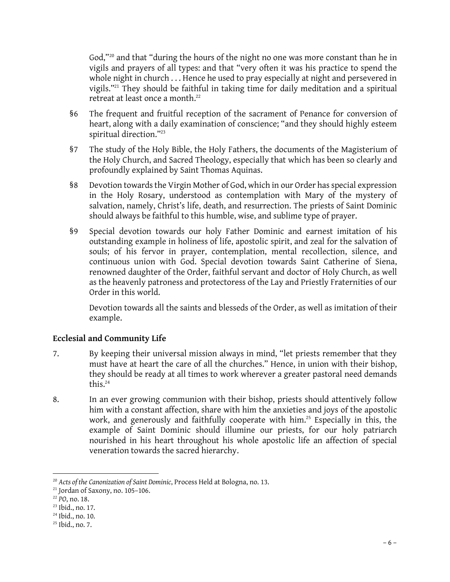God,"<sup>20</sup> and that "during the hours of the night no one was more constant than he in vigils and prayers of all types: and that "very often it was his practice to spend the whole night in church . . . Hence he used to pray especially at night and persevered in vigils."<sup>21</sup> They should be faithful in taking time for daily meditation and a spiritual retreat at least once a month.<sup>22</sup>

- §6 The frequent and fruitful reception of the sacrament of Penance for conversion of heart, along with a daily examination of conscience; "and they should highly esteem spiritual direction."<sup>23</sup>
- §7 The study of the Holy Bible, the Holy Fathers, the documents of the Magisterium of spiritual unection.<br>The study of the Holy Bible, the Holy Fathers, the documents of the Magisterium of<br>the Holy Church, and Sacred Theology, especially that which has been so clearly and<br>profoundly explained by Saint Thoma The study of the Holy Bible, the Holy Fathers, the<br>the Holy Church, and Sacred Theology, especially<br>profoundly explained by Saint Thomas Aquinas. §8 Devotion towards the Virgin Mother of God, which in our Order has special expression
- in the Holy Rosary, understood as contemplation with Mary of the mystery of salvation, namely, Christ's life, death, and resurrection. The priests of Saint Dominic should always be faithful to this humble, wise, and sublime type of prayer.
- §9 Special devotion towards our holy Father Dominic and earnest imitation of his outstanding example in holiness of life, apostolic spirit, and zeal for the salvation of souls; of his fervor in prayer, contemplation, mental recollection, silence, and continuous union with God. Special devotion towards Saint Catherine of Siena, renowned daughter of the Order, faithful servant and doctor of Holy Church, as well as the heavenly patroness and protectoress of the Lay and Priestly Fraternities of our Order in this world.

Devotion towards all the saints and blesseds of the Order, as well as imitation of their example.

#### **Ecclesial and Community Life**

- 7. By keeping their universal mission always in mind, "let priests remember that they must have at heart the care of all the churches." Hence, in union with their bishop, they should be ready at all times to work wherever a greater pastoral need demands this.<sup>24</sup>
- 8. In an ever growing communion with their bishop, priests should attentively follow him with a constant affection, share with him the anxieties and joys of the apostolic work, and generously and faithfully cooperate with him.<sup>25</sup> Especially in this, the example of Saint Dominic should illumine our priests, for our holy patriarch nourished in his heart throughout his whole apostolic life an affection of special veneration towards the sacred hierarchy.

<sup>&</sup>lt;sup>20</sup> *Acts of the Canonization of Saint Dominic*, Process Held at Bologna, no. 13.<br><sup>21</sup> Jordan of Saxony, no. 105-106.

<sup>22</sup> *PO*, no. 18.

<sup>23</sup> Ibid., no. 17.

<sup>24</sup> Ibid., no. 10.

<sup>25</sup> Ibid., no. 7.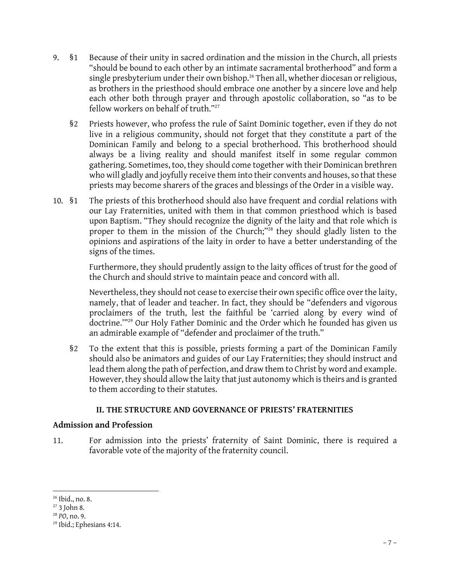- 9. §1 Because of their unity in sacred ordination and the mission in the Church, all priests "should be bound to each other by an intimate sacramental brotherhood" and form a single presbyterium under their own bishop.<sup>26</sup> Then all, whether diocesan or religious, as brothers in the priesthood should embrace one another by a sincere love and help each other both through prayer and through apostolic collaboration, so "as to be fellow workers on behalf of truth."<sup>27</sup>
	- §2 Priests however, who profess the rule of Saint Dominic together, even if they do not Dominican Family and belong to a special brotherhood. This brotherhood should live in a religious community, should not forget that they constitute a part of the always be a living reality and should manifest itself in some regular common Dominican Family and belong to a special brotherhood. This brotherhood should always be a living reality and should manifest itself in some regular common gathering. Sometimes, too, they should come together with their Dom who will gladly and joyfully receive them into their convents and houses, so that these priests may become sharers of the graces and blessings of the Order in a visible way.
- 10. §1 The priests of this brotherhood should also have frequent and cordial relations with our Lay Fraternities, united with them in that common priesthood which is based upon Baptism. "They should recognize the dignity of the laity and that role which is proper to them in the mission of the Church;"<sup>28</sup> they should gladly listen to the opinions and aspirations of the laity in order to have a better understanding of the signs of the times.

Furthermore, they should prudently assign to the laity offices of trust for the good of the Church and should strive to maintain peace and concord with all.

Nevertheless, they should not cease to exercise their own specific office over the laity, namely, that of leader and teacher. In fact, they should be "defenders and vigorous proclaimers of the truth, lest the faithful be 'carried along by every wind of doctrine.'"<sup>29</sup> Our Holy Father Dominic and the Order which he founded has given us an admirable example of "defender and proclaimer of the truth."

§2 To the extent that this is possible, priests forming a part of the Dominican Family should also be animators and guides of our Lay Fraternities; they should instruct and lead them along the path of perfection, and draw them to Christ by word and example. However, they should allow the laity that just autonomy which is theirs and is granted to them according to their statutes.

#### **II. THE STRUCTURE AND GOVERNANCE OF PRIESTS' FRATERNITIES**

#### **Admission and Profession**

11. For admission into the priests' fraternity of Saint Dominic, there is required a favorable vote of the majority of the fraternity council.

<sup>26</sup> Ibid., no. 8.

<sup>27</sup> 3 John 8.

<sup>28</sup> *PO*, no. 9.

<sup>29</sup> Ibid.; Ephesians 4:14.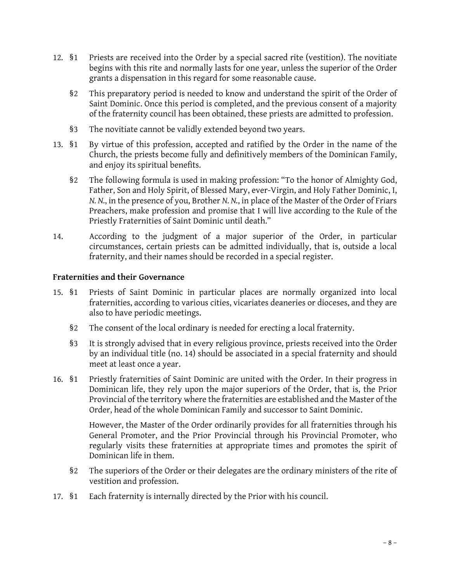- 12. §1 Priests are received into the Order by a special sacred rite (vestition). The novitiate begins with this rite and normally lasts for one year, unless the superior of the Order grants a dispensation in this regard for some reasonable cause.
	- §2 This preparatory period is needed to know and understand the spirit of the Order of grants a dispensation in this regard for some reasonable cause.<br>This preparatory period is needed to know and understand the spirit of the Order of<br>Saint Dominic. Once this period is completed, and the previous consent of of the fraternity council has been obtained, these priests are admitted to profession.
	- §3 The novitiate cannot be validly extended beyond two years.
- 13. §1 By virtue of this profession, accepted and ratified by the Order in the name of the The hovidate cannot be vandry extended beyond two years.<br>By virtue of this profession, accepted and ratified by the Order in the name of the<br>Church, the priests become fully and definitively members of the Dominican Family and enjoy its spiritual benefits. Following formula is used in making profession: "To the honor of Almighty God,<br>Summer following formula is used in making profession: "To the honor of Almighty God,
	- Father, Son and Holy Spirit, of Blessed Mary, ever-Virgin, and Holy Father Dominic, I, *N. N.*, in the presence of you, Brother *N. N.*, in place of the Master of the Order of Friars Preachers, make profession and promise that I will live according to the Rule of the Priestly Fraternities of Saint Dominic until death."
- 14. According to the judgment of a major superior of the Order, in particular circumstances, certain priests can be admitted individually, that is, outside a local fraternity, and their names should be recorded in a special register.

#### **Fraternities and their Governance**

- 15. §1 Priests of Saint Dominic in particular places are normally organized into local fraternities, according to various cities, vicariates deaneries or dioceses, and they are also to have periodic meetings.
	- §2 The consent of the local ordinary is needed for erecting a local fraternity.
- §2 The consent of the local ordinary is needed for erecting a local fraternity.<br>§3 It is strongly advised that in every religious province, priests received into the Order<br>by an individual title (no. 14) should be associat The consent of the local ordinary is heeded for erecting a local fraternity.<br>It is strongly advised that in every religious province, priests received into the Order<br>by an individual title (no. 14) should be associated in meet at least once a year. by an individual title (no. 14) should be associated in a special fraternity and should<br>meet at least once a year.<br>16. §1 Priestly fraternities of Saint Dominic are united with the Order. In their progress in
- Dominican life, they rely upon the major superiors of the Order, that is, the Prior Provincial of the territory where the fraternities are established and the Master of the Order, head of the whole Dominican Family and successor to Saint Dominic.

However, the Master of the Order ordinarily provides for all fraternities through his General Promoter, and the Prior Provincial through his Provincial Promoter, who regularly visits these fraternities at appropriate times and promotes the spirit of Dominican life in them.

- §2 The superiors of the Order or their delegates are the ordinary ministers of the rite of vestition and profession.
- 17. §1 Each fraternity is internally directed by the Prior with his council.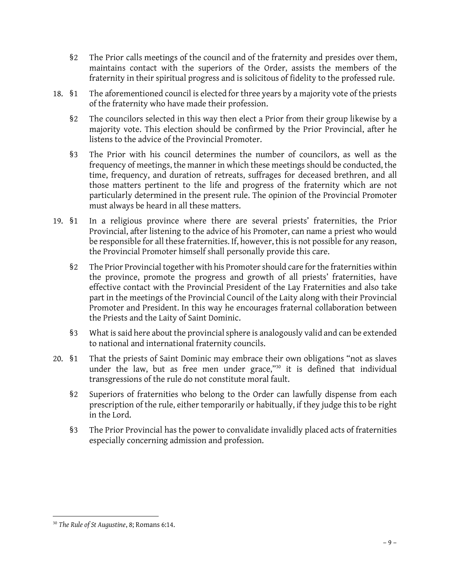- §2 The Prior calls meetings of the council and of the fraternity and presides over them, maintains contact with the superiors of the Order, assists the members of the fraternity in their spiritual progress and is solicitous of fidelity to the professed rule.
- 18. §1 The aforementioned council is elected for three years by a majority vote of the priests of the fraternity who have made their profession.
	- §2 The councilors selected in this way then elect a Prior from their group likewise by a majority vote. This election should be confirmed by the Prior Provincial, after he listens to the advice of the Provincial Promoter.
- §3 The Prior with his council determines the number of councilors, as well as the frequency of meetings, the manner in which these meetings should be conducted, the time, frequency, and duration of retreats, suffrages for deceased brethren, and all those matters pertinent to the life and progress of the fraternity which are not time, frequency, and duration of retreats, suffrages for deceased brethren, and all<br>those matters pertinent to the life and progress of the fraternity which are not<br>particularly determined in the present rule. The opinion must always be heard in all these matters. particularly determined in the present rule. The opinion of the Provincial Promoter<br>must always be heard in all these matters.<br>19. §1 In a religious province where there are several priests' fraternities, the Prior
- Provincial, after listening to the advice of his Promoter, can name a priest who would In a religious province where there are several priests' fraternities, the Prior<br>Provincial, after listening to the advice of his Promoter, can name a priest who would<br>be responsible for all these fraternities. If, however the Provincial Promoter himself shall personally provide this care.
	- §2 The Prior Provincial together with his Promoter should care for the fraternities within the province, promote the progress and growth of all priests' fraternities, have effective contact with the Provincial President of the Lay Fraternities and also take part in the meetings of the Provincial Council of the Laity along with their Provincial Promoter and President. In this way he encourages fraternal collaboration between the Priests and the Laity of Saint Dominic.
	- §3 What is said here about the provincial sphere is analogously valid and can be extended to national and international fraternity councils.
- 20. §1 That the priests of Saint Dominic may embrace their own obligations "not as slaves under the law, but as free men under grace,"<sup>30</sup> it is defined that individual transgressions of the rule do not constitute moral fault.
	- §2 Superiors of fraternities who belong to the Order can lawfully dispense from each prescription of the rule, either temporarily or habitually, if they judge this to be right in the Lord.
	- §3 The Prior Provincial has the power to convalidate invalidly placed acts of fraternities especially concerning admission and profession.

<sup>30</sup> *The Rule of St Augustine*, 8; Romans 6:14.